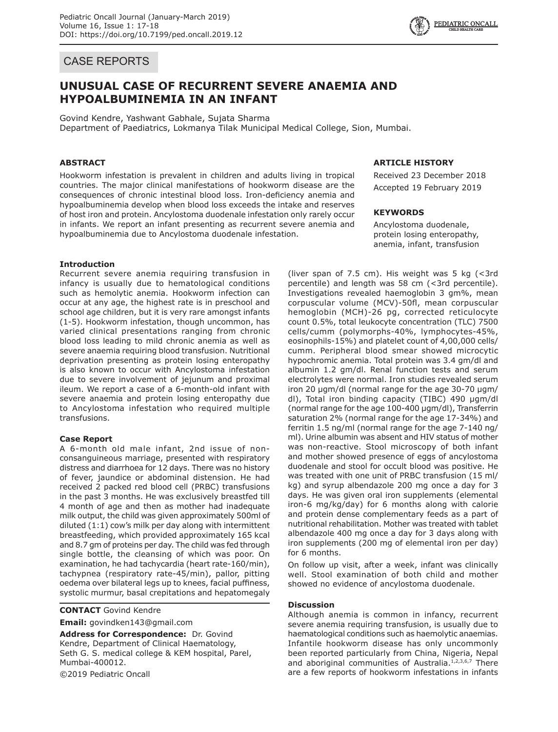## CASE REPORTS

# **UNUSUAL CASE OF RECURRENT SEVERE ANAEMIA AND HYPOALBUMINEMIA IN AN INFANT**

Govind Kendre, Yashwant Gabhale, Sujata Sharma Department of Paediatrics, Lokmanya Tilak Municipal Medical College, Sion, Mumbai.

## **ABSTRACT**

Hookworm infestation is prevalent in children and adults living in tropical countries. The major clinical manifestations of hookworm disease are the consequences of chronic intestinal blood loss. Iron-deficiency anemia and hypoalbuminemia develop when blood loss exceeds the intake and reserves of host iron and protein. Ancylostoma duodenale infestation only rarely occur in infants. We report an infant presenting as recurrent severe anemia and hypoalbuminemia due to Ancylostoma duodenale infestation.

## **Introduction**

Recurrent severe anemia requiring transfusion in infancy is usually due to hematological conditions such as hemolytic anemia. Hookworm infection can occur at any age, the highest rate is in preschool and school age children, but it is very rare amongst infants (1-5). Hookworm infestation, though uncommon, has varied clinical presentations ranging from chronic blood loss leading to mild chronic anemia as well as severe anaemia requiring blood transfusion. Nutritional deprivation presenting as protein losing enteropathy is also known to occur with Ancylostoma infestation due to severe involvement of jejunum and proximal ileum. We report a case of a 6-month-old infant with severe anaemia and protein losing enteropathy due to Ancylostoma infestation who required multiple transfusions.

#### **Case Report**

A 6-month old male infant, 2nd issue of nonconsanguineous marriage, presented with respiratory distress and diarrhoea for 12 days. There was no history of fever, jaundice or abdominal distension. He had received 2 packed red blood cell (PRBC) transfusions in the past 3 months. He was exclusively breastfed till 4 month of age and then as mother had inadequate milk output, the child was given approximately 500ml of diluted (1:1) cow's milk per day along with intermittent breastfeeding, which provided approximately 165 kcal and 8.7 gm of proteins per day. The child was fed through single bottle, the cleansing of which was poor. On examination, he had tachycardia (heart rate-160/min), tachypnea (respiratory rate-45/min), pallor, pitting oedema over bilateral legs up to knees, facial puffiness, systolic murmur, basal crepitations and hepatomegaly

**CONTACT** Govind Kendre

**Email:** govindken143@gmail.com

**Address for Correspondence:** Dr. Govind Kendre, Department of Clinical Haematology, Seth G. S. medical college & KEM hospital, Parel, Mumbai-400012.

©2019 Pediatric Oncall

## **ARTICLE HISTORY**

Received 23 December 2018 Accepted 19 February 2019

#### **KEYWORDS**

Ancylostoma duodenale, protein losing enteropathy, anemia, infant, transfusion

(liver span of  $7.5$  cm). His weight was  $5$  kg (<3rd percentile) and length was 58 cm (<3rd percentile). Investigations revealed haemoglobin 3 gm%, mean corpuscular volume (MCV)-50fl, mean corpuscular hemoglobin (MCH)-26 pg, corrected reticulocyte count 0.5%, total leukocyte concentration (TLC) 7500 cells/cumm (polymorphs-40%, lymphocytes-45%, eosinophils-15%) and platelet count of 4,00,000 cells/ cumm. Peripheral blood smear showed microcytic hypochromic anemia. Total protein was 3.4 gm/dl and albumin 1.2 gm/dl. Renal function tests and serum electrolytes were normal. Iron studies revealed serum iron 20 µgm/dl (normal range for the age 30-70 µgm/ dl), Total iron binding capacity (TIBC) 490 µgm/dl (normal range for the age 100-400 µgm/dl), Transferrin saturation 2% (normal range for the age 17-34%) and ferritin 1.5 ng/ml (normal range for the age 7-140 ng/ ml). Urine albumin was absent and HIV status of mother was non-reactive. Stool microscopy of both infant and mother showed presence of eggs of ancylostoma duodenale and stool for occult blood was positive. He was treated with one unit of PRBC transfusion (15 ml/ kg) and syrup albendazole 200 mg once a day for 3 days. He was given oral iron supplements (elemental iron-6 mg/kg/day) for 6 months along with calorie and protein dense complementary feeds as a part of nutritional rehabilitation. Mother was treated with tablet albendazole 400 mg once a day for 3 days along with iron supplements (200 mg of elemental iron per day) for 6 months.

On follow up visit, after a week, infant was clinically well. Stool examination of both child and mother showed no evidence of ancylostoma duodenale.

#### **Discussion**

Although anemia is common in infancy, recurrent severe anemia requiring transfusion, is usually due to haematological conditions such as haemolytic anaemias. Infantile hookworm disease has only uncommonly been reported particularly from China, Nigeria, Nepal and aboriginal communities of Australia.<sup>1,2,3,6,7</sup> There are a few reports of hookworm infestations in infants